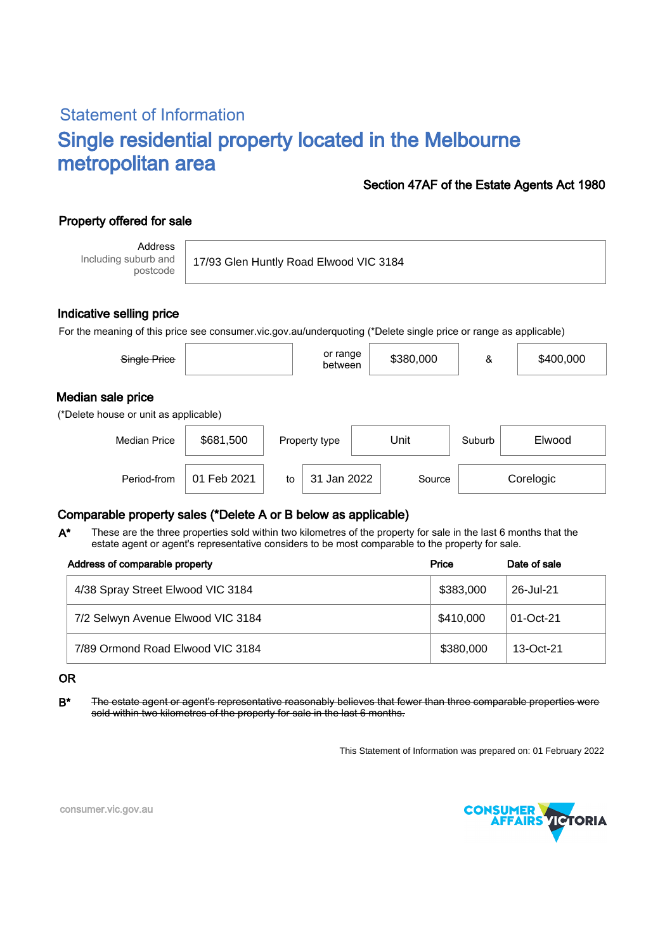# Statement of Information Single residential property located in the Melbourne metropolitan area

## Section 47AF of the Estate Agents Act 1980

## Property offered for sale

Address Including suburb and postcode

17/93 Glen Huntly Road Elwood VIC 3184

### Indicative selling price

For the meaning of this price see consumer.vic.gov.au/underquoting (\*Delete single price or range as applicable)

| Single Price                                               |           | or range<br>between | \$380,000 | &      | \$400,000 |
|------------------------------------------------------------|-----------|---------------------|-----------|--------|-----------|
| Median sale price<br>(*Delete house or unit as applicable) |           |                     |           |        |           |
|                                                            |           |                     |           |        |           |
| <b>Median Price</b>                                        | \$681,500 | Property type       | Unit      | Suburb | Elwood    |

## Comparable property sales (\*Delete A or B below as applicable)

These are the three properties sold within two kilometres of the property for sale in the last 6 months that the estate agent or agent's representative considers to be most comparable to the property for sale. A\*

Period-from to Source

| Address of comparable property    | Price     | Date of sale |  |
|-----------------------------------|-----------|--------------|--|
| 4/38 Spray Street Elwood VIC 3184 | \$383,000 | 26-Jul-21    |  |
| 7/2 Selwyn Avenue Elwood VIC 3184 | \$410,000 | 01-Oct-21    |  |
| 7/89 Ormond Road Elwood VIC 3184  | \$380,000 | 13-Oct-21    |  |

#### OR

B<sup>\*</sup> The estate agent or agent's representative reasonably believes that fewer than three comparable properties were sold within two kilometres of the property for sale in the last 6 months.

This Statement of Information was prepared on: 01 February 2022

31 Jan 2022 Source Corelogic



consumer.vic.gov.au